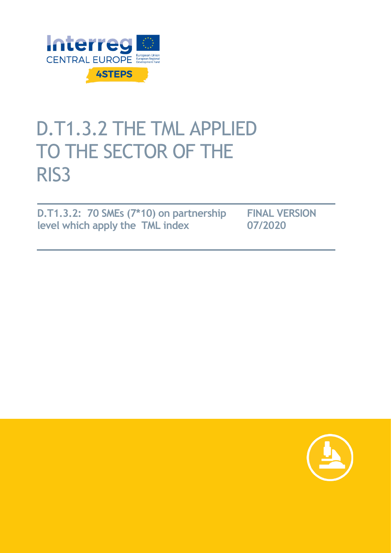

# D.T1.3.2 THE TML APPLIED TO THE SECTOR OF THE RIS3

**D.T1.3.2: 70 SMEs (7\*10) on partnership level which apply the TML index**

**FINAL VERSION 07/2020**

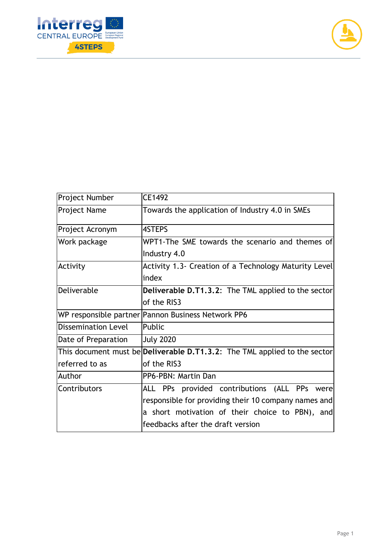



| Project Number             | CE1492                                                                           |  |  |  |  |
|----------------------------|----------------------------------------------------------------------------------|--|--|--|--|
| Project Name               | Towards the application of Industry 4.0 in SMEs                                  |  |  |  |  |
| Project Acronym            | 4STEPS                                                                           |  |  |  |  |
| Work package               | WPT1-The SME towards the scenario and themes of                                  |  |  |  |  |
|                            | Industry 4.0                                                                     |  |  |  |  |
| Activity                   | Activity 1.3- Creation of a Technology Maturity Level                            |  |  |  |  |
|                            | index                                                                            |  |  |  |  |
| Deliverable                | <b>Deliverable D.T1.3.2:</b> The TML applied to the sector                       |  |  |  |  |
|                            | of the RIS3                                                                      |  |  |  |  |
|                            | WP responsible partner Pannon Business Network PP6                               |  |  |  |  |
| <b>Dissemination Level</b> | Public                                                                           |  |  |  |  |
| Date of Preparation        | <b>July 2020</b>                                                                 |  |  |  |  |
|                            | This document must be <b>Deliverable D.T1.3.2:</b> The TML applied to the sector |  |  |  |  |
| referred to as             | of the RIS3                                                                      |  |  |  |  |
| Author                     | PP6-PBN: Martin Dan                                                              |  |  |  |  |
| Contributors               | ALL PPs provided contributions (ALL PPs were                                     |  |  |  |  |
|                            | responsible for providing their 10 company names and                             |  |  |  |  |
|                            | a short motivation of their choice to PBN), and                                  |  |  |  |  |
|                            | feedbacks after the draft version                                                |  |  |  |  |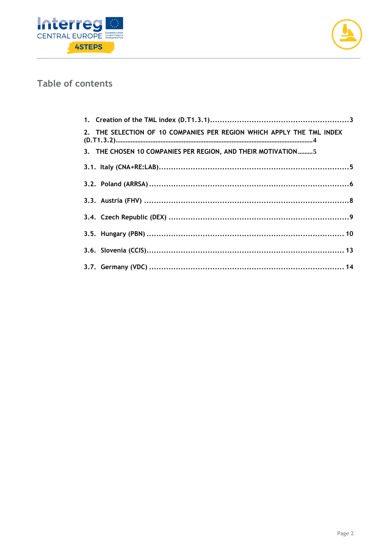



## Table of contents

| 2. THE SELECTION OF 10 COMPANIES PER REGION WHICH APPLY THE TML INDEX |  |
|-----------------------------------------------------------------------|--|
| 3. THE CHOSEN 10 COMPANIES PER REGION, AND THEIR MOTIVATION5          |  |
|                                                                       |  |
|                                                                       |  |
|                                                                       |  |
|                                                                       |  |
|                                                                       |  |
|                                                                       |  |
|                                                                       |  |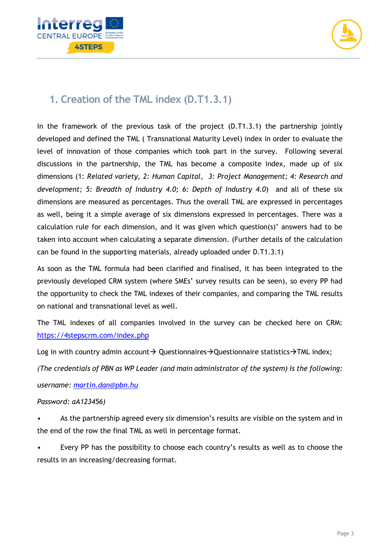



## <span id="page-3-0"></span>**1. Creation of the TML index (D.T1.3.1)**

In the framework of the previous task of the project (D.T1.3.1) the partnership jointly developed and defined the TML ( Transnational Maturity Level) index in order to evaluate the level of innovation of those companies which took part in the survey. Following several discussions in the partnership, the TML has become a composite index, made up of six dimensions (1: *Related variety, 2: Human Capital, 3: Project Management; 4: Research and development; 5: Breadth of Industry 4.0; 6: Depth of Industry 4.0*) and all of these six dimensions are measured as percentages. Thus the overall TML are expressed in percentages as well, being it a simple average of six dimensions expressed in percentages. There was a calculation rule for each dimension, and it was given which question(s)' answers had to be taken into account when calculating a separate dimension. (Further details of the calculation can be found in the supporting materials, already uploaded under D.T1.3.1)

As soon as the TML formula had been clarified and finalised, it has been integrated to the previously developed CRM system (where SMEs' survey results can be seen), so every PP had the opportunity to check the TML indexes of their companies, and comparing the TML results on national and transnational level as well.

The TML indexes of all companies involved in the survey can be checked here on CRM: <https://4stepscrm.com/index.php>

Log in with country admin account→ Questionnaires→Questionnaire statistics→TML index;

*(The credentials of PBN as WP Leader (and main administrator of the system) is the following: username: [martin.dan@pbn.hu](mailto:martin.dan@pbn.hu)*

#### *Password: aA123456)*

• As the partnership agreed every six dimension's results are visible on the system and in the end of the row the final TML as well in percentage format.

Every PP has the possibility to choose each country's results as well as to choose the results in an increasing/decreasing format.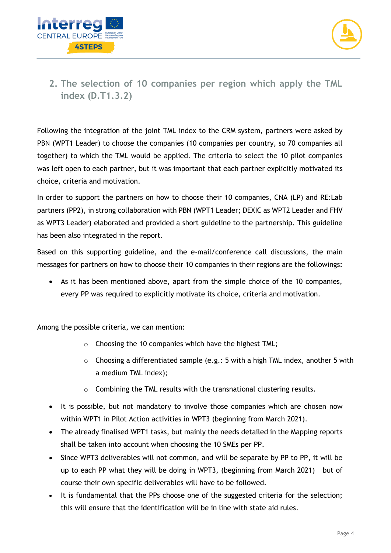



### <span id="page-4-0"></span>**2. The selection of 10 companies per region which apply the TML index (D.T1.3.2)**

Following the integration of the joint TML index to the CRM system, partners were asked by PBN (WPT1 Leader) to choose the companies (10 companies per country, so 70 companies all together) to which the TML would be applied. The criteria to select the 10 pilot companies was left open to each partner, but it was important that each partner explicitly motivated its choice, criteria and motivation.

In order to support the partners on how to choose their 10 companies, CNA (LP) and RE:Lab partners (PP2), in strong collaboration with PBN (WPT1 Leader; DEXIC as WPT2 Leader and FHV as WPT3 Leader) elaborated and provided a short guideline to the partnership. This guideline has been also integrated in the report.

Based on this supporting guideline, and the e-mail/conference call discussions, the main messages for partners on how to choose their 10 companies in their regions are the followings:

• As it has been mentioned above, apart from the simple choice of the 10 companies, every PP was required to explicitly motivate its choice, criteria and motivation.

#### Among the possible criteria, we can mention:

- o Choosing the 10 companies which have the highest TML;
- o Choosing a differentiated sample (e.g.: 5 with a high TML index, another 5 with a medium TML index);
- o Combining the TML results with the transnational clustering results.
- It is possible, but not mandatory to involve those companies which are chosen now within WPT1 in Pilot Action activities in WPT3 (beginning from March 2021).
- The already finalised WPT1 tasks, but mainly the needs detailed in the Mapping reports shall be taken into account when choosing the 10 SMEs per PP.
- Since WPT3 deliverables will not common, and will be separate by PP to PP, it will be up to each PP what they will be doing in WPT3, (beginning from March 2021) but of course their own specific deliverables will have to be followed.
- It is fundamental that the PPs choose one of the suggested criteria for the selection; this will ensure that the identification will be in line with state aid rules.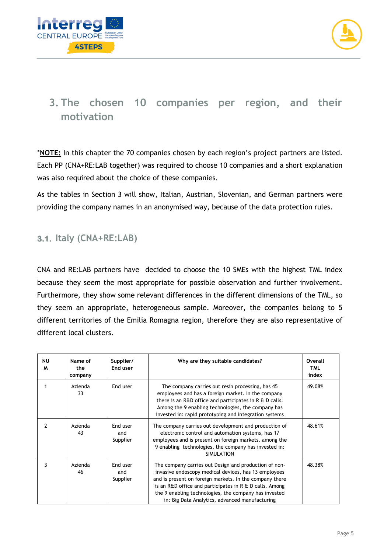



# <span id="page-5-0"></span>**3. The chosen 10 companies per region, and their motivation**

\***NOTE:** In this chapter the 70 companies chosen by each region's project partners are listed. Each PP (CNA+RE:LAB together) was required to choose 10 companies and a short explanation was also required about the choice of these companies.

As the tables in Section 3 will show, Italian, Austrian, Slovenian, and German partners were providing the company names in an anonymised way, because of the data protection rules.

#### <span id="page-5-1"></span>**3.1. Italy (CNA+RE:LAB)**

CNA and RE:LAB partners have decided to choose the 10 SMEs with the highest TML index because they seem the most appropriate for possible observation and further involvement. Furthermore, they show some relevant differences in the different dimensions of the TML, so they seem an appropriate, heterogeneous sample. Moreover, the companies belong to 5 different territories of the Emilia Romagna region, therefore they are also representative of different local clusters.

| ΝU<br>м | Name of<br>the<br>company | Supplier/<br>End user       | Why are they suitable candidates?                                                                                                                                                                                                                                                                                                              | Overall<br><b>TML</b><br>index |
|---------|---------------------------|-----------------------------|------------------------------------------------------------------------------------------------------------------------------------------------------------------------------------------------------------------------------------------------------------------------------------------------------------------------------------------------|--------------------------------|
|         | Azienda<br>33             | End user                    | The company carries out resin processing, has 45<br>employees and has a foreign market. In the company<br>there is an R&D office and participates in R & D calls.<br>Among the 9 enabling technologies, the company has<br>invested in: rapid prototyping and integration systems                                                              | 49.08%                         |
| 2       | Azienda<br>43             | End user<br>and<br>Supplier | The company carries out development and production of<br>electronic control and automation systems, has 17<br>employees and is present on foreign markets, among the<br>9 enabling technologies, the company has invested in:<br><b>SIMULATION</b>                                                                                             | 48.61%                         |
|         | Azienda<br>46             | End user<br>and<br>Supplier | The company carries out Design and production of non-<br>invasive endoscopy medical devices, has 13 employees<br>and is present on foreign markets. In the company there<br>is an R&D office and participates in R & D calls. Among<br>the 9 enabling technologies, the company has invested<br>in: Big Data Analytics, advanced manufacturing | 48.38%                         |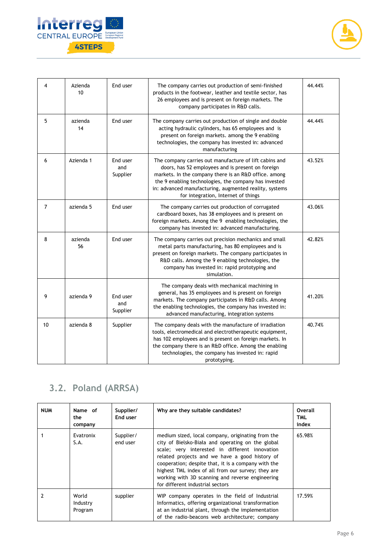



| 4  | Azienda<br>10 | End user                    | The company carries out production of semi-finished<br>products in the footwear, leather and textile sector, has<br>26 employees and is present on foreign markets. The<br>company participates in R&D calls.                                                                                                                  | 44.44% |
|----|---------------|-----------------------------|--------------------------------------------------------------------------------------------------------------------------------------------------------------------------------------------------------------------------------------------------------------------------------------------------------------------------------|--------|
| 5  | azienda<br>14 | End user                    | The company carries out production of single and double<br>acting hydraulic cylinders, has 65 employees and is<br>present on foreign markets. among the 9 enabling<br>technologies, the company has invested in: advanced<br>manufacturing                                                                                     | 44.44% |
| 6  | Azienda 1     | End user<br>and<br>Supplier | The company carries out manufacture of lift cabins and<br>doors, has 52 employees and is present on foreign<br>markets. In the company there is an R&D office. among<br>the 9 enabling technologies, the company has invested<br>in: advanced manufacturing, augmented reality, systems<br>for integration, Internet of things | 43.52% |
| 7  | azienda 5     | End user                    | The company carries out production of corrugated<br>cardboard boxes, has 38 employees and is present on<br>foreign markets. Among the 9 enabling technologies, the<br>company has invested in: advanced manufacturing.                                                                                                         | 43.06% |
| 8  | azienda<br>56 | End user                    | The company carries out precision mechanics and small<br>metal parts manufacturing, has 80 employees and is<br>present on foreign markets. The company participates in<br>R&D calls. Among the 9 enabling technologies, the<br>company has invested in: rapid prototyping and<br>simulation.                                   | 42.82% |
| 9  | azienda 9     | End user<br>and<br>Supplier | The company deals with mechanical machining in<br>general, has 35 employees and is present on foreign<br>markets. The company participates in R&D calls. Among<br>the enabling technologies, the company has invested in:<br>advanced manufacturing, integration systems                                                       | 41.20% |
| 10 | azienda 8     | Supplier                    | The company deals with the manufacture of irradiation<br>tools, electromedical and electrotherapeutic equipment,<br>has 102 employees and is present on foreign markets. In<br>the company there is an R&D office. Among the enabling<br>technologies, the company has invested in: rapid<br>prototyping.                      | 40.74% |

# <span id="page-6-0"></span>**3.2. Poland (ARRSA)**

| <b>NUM</b> | Name of<br>the<br>company    | Supplier/<br>End user | Why are they suitable candidates?                                                                                                                                                                                                                                                                                                                                                                               | Overall<br><b>TML</b><br>index |
|------------|------------------------------|-----------------------|-----------------------------------------------------------------------------------------------------------------------------------------------------------------------------------------------------------------------------------------------------------------------------------------------------------------------------------------------------------------------------------------------------------------|--------------------------------|
|            | Evatronix<br>S.A.            | Supplier/<br>end user | medium sized, local company, originating from the<br>city of Bielsko-Biała and operating on the global<br>scale; very interested in different innovation<br>related projects and we have a good history of<br>cooperation; despite that, it is a company with the<br>highest TML index of all from our survey; they are<br>working with 3D scanning and reverse engineering<br>for different industrial sectors | 65.98%                         |
|            | World<br>Industry<br>Program | supplier              | WIP company operates in the field of Industrial<br>Informatics, offering organizational transformation<br>at an industrial plant, through the implementation<br>of the radio-beacons web architecture; company                                                                                                                                                                                                  | 17.59%                         |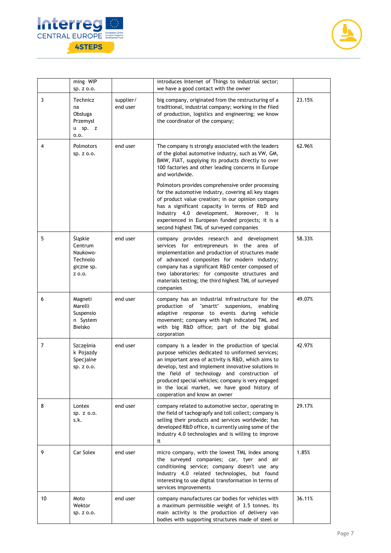



|    | ming WIP<br>sp. z o.o.                                             |                       | introduces Internet of Things to industrial sector;<br>we have a good contact with the owner                                                                                                                                                                                                                                                                                                                                                                                                                                                                                                             |        |
|----|--------------------------------------------------------------------|-----------------------|----------------------------------------------------------------------------------------------------------------------------------------------------------------------------------------------------------------------------------------------------------------------------------------------------------------------------------------------------------------------------------------------------------------------------------------------------------------------------------------------------------------------------------------------------------------------------------------------------------|--------|
| 3  | Technicz<br>na<br>Obsługa<br>Przemysł<br>u sp. z<br>0.0.           | supplier/<br>end user | big company, originated from the restructuring of a<br>traditional, industrial company; working in the filed<br>of production, logistics and engineering; we know<br>the coordinator of the company;                                                                                                                                                                                                                                                                                                                                                                                                     | 23.15% |
| 4  | Polmotors<br>Sp. z 0.0.                                            | end user              | The company is strongly associated with the leaders<br>of the global automotive industry, such as VW, GM,<br>BMW, FIAT, supplying its products directly to over<br>100 factories and other leading concerns in Europe<br>and worldwide.<br>Polmotors provides comprehensive order processing<br>for the automotive industry, covering all key stages<br>of product value creation; in our opinion company<br>has a significant capacity in terms of R&D and<br>Industry 4.0 development. Moreover, it is<br>experienced in European funded projects; it is a<br>second highest TML of surveyed companies | 62.96% |
| 5  | Śląskie<br>Centrum<br>Naukowo-<br>Technolo<br>giczne sp.<br>Z 0.0. | end user              | company provides research and development<br>services for entrepreneurs in the area of<br>implementation and production of structures made<br>of advanced composites for modern industry;<br>company has a significant R&D center composed of<br>two laboratories: for composite structures and<br>materials testing; the third highest TML of surveyed<br>companies                                                                                                                                                                                                                                     | 58.33% |
| 6  | Magneti<br>Marelli<br>Suspensio<br>n System<br><b>Bielsko</b>      | end user              | company has an industrial infrastructure for the<br>production of "smartt"<br>suspenions, enabling<br>adaptive response to events during vehicle<br>movement; company with high indicated TML and<br>with big R&D office; part of the big global<br>corporation                                                                                                                                                                                                                                                                                                                                          | 49.07% |
| 7  | Szczęśnia<br>k Pojazdy<br>Specialne<br>Sp. z 0.0.                  | end user              | company is a leader in the production of special<br>purpose vehicles dedicated to uniformed services;<br>an important area of activity is R&D, which aims to<br>develop, test and implement innovative solutions in<br>the field of technology and construction of<br>produced special vehicles; company is very engaged<br>in the local market, we have good history of<br>cooperation and know an owner                                                                                                                                                                                                | 42.97% |
| 8  | Lontex<br>sp. z o.o.<br>s.k.                                       | end user              | company related to automotive sector, operating in<br>the field of tachograpfy and toll collect; company is<br>selling their products and services worldwide; has<br>developed R&D office, is currently using some of the<br>Industry 4.0 technologies and is willing to improve<br>it                                                                                                                                                                                                                                                                                                                   | 29.17% |
| 9  | Car Solex                                                          | end user              | micro company, with the lowest TML index among<br>the surveyed companies; car, tyer and air<br>conditioning service; company doesn't use any<br>Industry 4.0 related technologies, but found<br>interesting to use digital transformation in terms of<br>services improvements                                                                                                                                                                                                                                                                                                                           | 1.85%  |
| 10 | Moto<br>Wektor<br>sp. z o.o.                                       | end user              | company manufactures car bodies for vehicles with<br>a maximum permissible weight of 3.5 tonnes. Its<br>main activity is the production of delivery van<br>bodies with supporting structures made of steel or                                                                                                                                                                                                                                                                                                                                                                                            | 36.11% |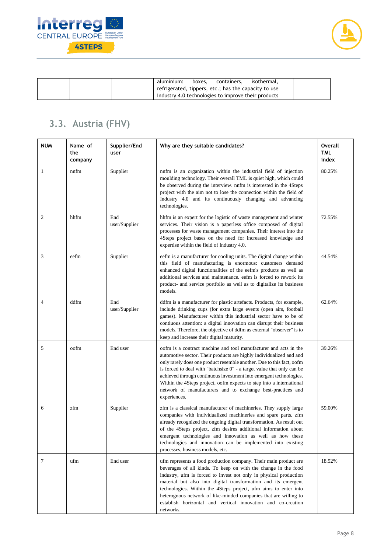



| aluminium:<br>containers.<br>isothermal.<br>boxes.   |  |
|------------------------------------------------------|--|
| refrigerated, tippers, etc.; has the capacity to use |  |
| Industry 4.0 technologies to improve their products  |  |

## <span id="page-8-0"></span>**3.3. Austria (FHV)**

| <b>NUM</b>     | Name of<br>the<br>company | Supplier/End<br>user | Why are they suitable candidates?                                                                                                                                                                                                                                                                                                                                                                                                                                                                                       | <b>Overall</b><br><b>TML</b><br>index |
|----------------|---------------------------|----------------------|-------------------------------------------------------------------------------------------------------------------------------------------------------------------------------------------------------------------------------------------------------------------------------------------------------------------------------------------------------------------------------------------------------------------------------------------------------------------------------------------------------------------------|---------------------------------------|
| 1              | nnfm                      | Supplier             | nnfm is an organization within the industrial field of injection<br>moulding technology. Their overall TML is quiet high, which could<br>be observed during the interview. nnfm is interested in the 4Steps<br>project with the aim not to lose the connection within the field of<br>Industry 4.0 and its continuously changing and advancing<br>technologies.                                                                                                                                                         | 80.25%                                |
| $\mathfrak{2}$ | hhfm                      | End<br>user/Supplier | hhfm is an expert for the logistic of waste management and winter<br>services. Their vision is a paperless office composed of digital<br>processes for waste management companies. Their interest into the<br>4Steps project bases on the need for increased knowledge and<br>expertise within the field of Industry 4.0.                                                                                                                                                                                               | 72.55%                                |
| 3              | eefm                      | Supplier             | eefm is a manufacturer for cooling units. The digital change within<br>this field of manufacturing is enormous: customers demand<br>enhanced digital functionalities of the eefm's products as well as<br>additional services and maintenance. eefm is forced to rework its<br>product- and service portfolio as well as to digitalize its business<br>models.                                                                                                                                                          | 44.54%                                |
| $\overline{4}$ | ddfm                      | End<br>user/Supplier | ddfm is a manufacturer for plastic artefacts. Products, for example,<br>include drinking cups (for extra large events (open airs, football<br>games). Manufacturer within this industrial sector have to be of<br>contiuous attention: a digital innovation can disrupt their business<br>models. Therefore, the objective of ddfm as external "observer" is to<br>keep and increase their digital maturity.                                                                                                            | 62.64%                                |
| 5              | oofm                      | End user             | oofm is a contract machine and tool manufacturer and acts in the<br>automotive sector. Their products are highly individualized and and<br>only rarely does one product resemble another. Due to this fact, oofm<br>is forced to deal with "batchsize 0" - a target value that only can be<br>achieved through continuous investment into emergent technologies.<br>Within the 4Steps project, oofm expects to step into a international<br>network of manufacturers and to exchange best-practices and<br>experiences. | 39.26%                                |
| 6              | zfm                       | Supplier             | zfm is a classical manufacturer of machineries. They supply large<br>companies with individualized machineries and spare parts. zfm<br>already recognized the ongoing digital transformation. As result out<br>of the 4Steps project, zfm desires additional information about<br>emergent technologies and innovation as well as how these<br>technologies and innovation can be implemented into existing<br>processes, business models, etc.                                                                         | 59.00%                                |
| 7              | ufm                       | End user             | ufm represents a food production company. Their main product are<br>beverages of all kinds. To keep on with the change in the food<br>industry, ufm is forced to invest not only in physical production<br>material but also into digital transformation and its emergent<br>technologies. Within the 4Steps project, ufm aims to enter into<br>heterognous network of like-minded companies that are willing to<br>establish horizontal and vertical innovation and co-creation<br>networks.                           | 18.52%                                |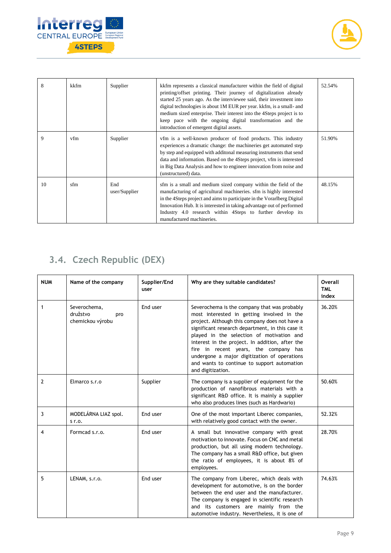



| 8  | kkfm | Supplier             | kkfm represents a classical manufacturer within the field of digital<br>printing/offset printing. Their journey of digitalization already<br>started 25 years ago. As the interviewee said, their investment into<br>digital technologies is about 1M EUR per year. kkfm, is a small- and<br>medium sized enterprise. Their interest into the 4Steps project is to<br>keep pace with the ongoing digital transformation and the<br>introduction of emergent digital assets. | 52.54% |
|----|------|----------------------|-----------------------------------------------------------------------------------------------------------------------------------------------------------------------------------------------------------------------------------------------------------------------------------------------------------------------------------------------------------------------------------------------------------------------------------------------------------------------------|--------|
| 9  | vfm  | Supplier             | vfm is a well-known producer of food products. This industry<br>experiences a dramatic change: the machineries get automated step<br>by step and equipped with additional measuring instruments that send<br>data and information. Based on the 4Steps project, vfm is interested<br>in Big Data Analysis and how to engineer innovation from noise and<br>(unstructured) data.                                                                                             | 51.90% |
| 10 | sfm  | End<br>user/Supplier | sfm is a small and medium sized company within the field of the<br>manufacturing of agricultural machineries. sfm is highly interested<br>in the 4Steps project and aims to participate in the Vorarlberg Digital<br>Innovation Hub. It is interested in taking advantage out of performed<br>Industry 4.0 research within 4Steps to further develop its<br>manufactured machineries.                                                                                       | 48.15% |

# <span id="page-9-0"></span>**3.4. Czech Republic (DEX)**

| <b>NUM</b>     | Name of the company                                 | Supplier/End<br>user | Why are they suitable candidates?                                                                                                                                                                                                                                                                                                                                                                                                                             | Overall<br><b>TML</b><br>index |
|----------------|-----------------------------------------------------|----------------------|---------------------------------------------------------------------------------------------------------------------------------------------------------------------------------------------------------------------------------------------------------------------------------------------------------------------------------------------------------------------------------------------------------------------------------------------------------------|--------------------------------|
| 1              | Severochema,<br>družstvo<br>pro<br>chemickou výrobu | End user             | Severochema is the company that was probably<br>most interested in getting involved in the<br>project. Although this company does not have a<br>significant research department, in this case it<br>played in the selection of motivation and<br>interest in the project. In addition, after the<br>fire in recent years, the company has<br>undergone a major digitization of operations<br>and wants to continue to support automation<br>and digitization. | 36.20%                         |
| $\overline{2}$ | Elmarco s.r.o                                       | Supplier             | The company is a supplier of equipment for the<br>production of nanofibrous materials with a<br>significant R&D office. It is mainly a supplier<br>who also produces lines (such as Hardwario)                                                                                                                                                                                                                                                                | 50.60%                         |
| 3              | MODELÁRNA LIAZ spol.<br>$Sr$ .                      | End user             | One of the most important Liberec companies,<br>with relatively good contact with the owner.                                                                                                                                                                                                                                                                                                                                                                  | 52.32%                         |
| 4              | Formcad s.r.o.                                      | End user             | A small but innovative company with great<br>motivation to innovate. Focus on CNC and metal<br>production, but all using modern technology.<br>The company has a small R&D office, but given<br>the ratio of employees, it is about 8% of<br>employees.                                                                                                                                                                                                       | 28.70%                         |
| 5              | LENAM, s.r.o.                                       | End user             | The company from Liberec, which deals with<br>development for automotive, is on the border<br>between the end user and the manufacturer.<br>The company is engaged in scientific research<br>and its customers are mainly from the<br>automotive industry. Nevertheless, it is one of                                                                                                                                                                         | 74.63%                         |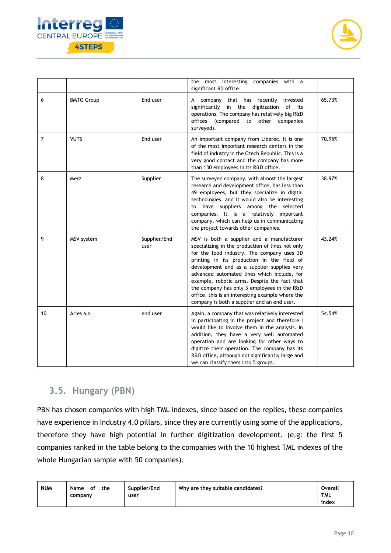



|    |                   |                      | the most interesting companies with a<br>significant RD office.                                                                                                                                                                                                                                                                                                                                                                                                                           |        |
|----|-------------------|----------------------|-------------------------------------------------------------------------------------------------------------------------------------------------------------------------------------------------------------------------------------------------------------------------------------------------------------------------------------------------------------------------------------------------------------------------------------------------------------------------------------------|--------|
| 6  | <b>BMTO Group</b> | End user             | A company that has recently invested<br>significantly in the digitization of its<br>operations. The company has relatively big R&D<br>offices (compared to other companies<br>surveyed).                                                                                                                                                                                                                                                                                                  | 65.73% |
| 7  | <b>VUTS</b>       | End user             | An important company from Liberec. It is one<br>of the most important research centers in the<br>field of industry in the Czech Republic. This is a<br>very good contact and the company has more<br>than 130 employees in its R&D office.                                                                                                                                                                                                                                                | 70.95% |
| 8  | Merz              | Supplier             | The surveyed company, with almost the largest<br>research and development office, has less than<br>49 employees, but they specialize in digital<br>technologies, and it would also be interesting<br>to have suppliers among the selected<br>companies. It is a relatively important<br>company, which can help us in communicating<br>the project towards other companies.                                                                                                               | 38.97% |
| 9  | MSV systém        | Supplier/End<br>user | MSV is both a supplier and a manufacturer<br>specializing in the production of lines not only<br>for the food industry. The company uses 3D<br>printing in its production in the field of<br>development and as a supplier supplies very<br>advanced automated lines which include, for<br>example, robotic arms. Despite the fact that<br>the company has only 3 employees in the R&D<br>office, this is an interesting example where the<br>company is both a supplier and an end user. | 43.24% |
| 10 | Aries a.s.        | end user             | Again, a company that was relatively interested<br>in participating in the project and therefore I<br>would like to involve them in the analysis. In<br>addition, they have a very well automated<br>operation and are looking for other ways to<br>digitize their operation. The company has its<br>R&D office, although not significantly large and<br>we can classify them into 5 groups.                                                                                              | 54.54% |

#### <span id="page-10-0"></span>**3.5. Hungary (PBN)**

PBN has chosen companies with high TML indexes, since based on the replies, these companies have experience in Industry 4.0 pillars, since they are currently using some of the applications, therefore they have high potential in further digitization development. (e.g: the first 5 companies ranked in the table belong to the companies with the 10 highest TML indexes of the whole Hungarian sample with 50 companies).

| <b>NUM</b> | Name<br>the<br>of<br>company | Supplier/End<br>user | Why are they suitable candidates? | Overall<br><b>TML</b> |
|------------|------------------------------|----------------------|-----------------------------------|-----------------------|
|            |                              |                      |                                   | index                 |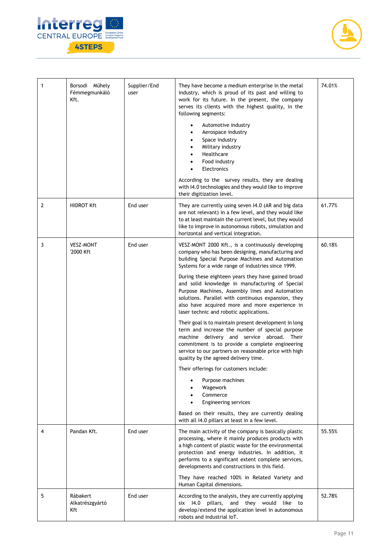



| $\mathbf{1}$ | Borsodi Műhely<br>Fémmegmunkáló<br>Kft. | Supplier/End<br>user | They have become a medium enterprise in the metal<br>industry, which is proud of its past and willing to<br>work for its future. In the present, the company<br>serves its clients with the highest quality, in the<br>following segments:<br>Automotive industry<br>Aerospace industry<br>Space industry<br>Military industry<br>Healthcare<br>Food industry<br>Electronics<br>According to the survey results, they are dealing<br>with I4.0 technologies and they would like to improve<br>their digitization level.                                                                                                                                                                                                                                                                                                                                                                                                                                                                                                                                              | 74.01% |
|--------------|-----------------------------------------|----------------------|----------------------------------------------------------------------------------------------------------------------------------------------------------------------------------------------------------------------------------------------------------------------------------------------------------------------------------------------------------------------------------------------------------------------------------------------------------------------------------------------------------------------------------------------------------------------------------------------------------------------------------------------------------------------------------------------------------------------------------------------------------------------------------------------------------------------------------------------------------------------------------------------------------------------------------------------------------------------------------------------------------------------------------------------------------------------|--------|
| 2            | <b>HIDROT Kft</b>                       | End user             | They are currently using seven I4.0 (AR and big data<br>are not relevant) in a few level, and they would like<br>to at least maintain the current level, but they would<br>like to improve in autonomous robots, simulation and<br>horizontal and vertical integration.                                                                                                                                                                                                                                                                                                                                                                                                                                                                                                                                                                                                                                                                                                                                                                                              | 61.77% |
| 3            | <b>VESZ-MONT</b><br>'2000 Kft           | End user             | VESZ-MONT 2000 Kft., is a continuously developing<br>company who has been designing, manufacturing and<br>building Special Purpose Machines and Automation<br>Systems for a wide range of industries since 1999.<br>During these eighteen years they have gained broad<br>and solid knowledge in manufacturing of Special<br>Purpose Machines, Assembly lines and Automation<br>solutions. Parallel with continuous expansion, they<br>also have acquired more and more experience in<br>laser technic and robotic applications.<br>Their goal is to maintain present development in long<br>term and increase the number of special purpose<br>machine delivery and service abroad. Their<br>commitment is to provide a complete engineering<br>service to our partners on reasonable price with high<br>quality by the agreed delivery time.<br>Their offerings for customers include:<br>Purpose machines<br>Wagework<br>Commerce<br>Engineering services<br>Based on their results, they are currently dealing<br>with all I4.0 pillars at least in a few level. | 60.18% |
| 4            | Pandan Kft.                             | End user             | The main activity of the company is basically plastic<br>processing, where it mainly produces products with<br>a high content of plastic waste for the environmental<br>protection and energy industries. In addition, it<br>performs to a significant extent complete services,<br>developments and constructions in this field.<br>They have reached 100% in Related Variety and<br>Human Capital dimensions.                                                                                                                                                                                                                                                                                                                                                                                                                                                                                                                                                                                                                                                      | 55.55% |
| 5            | Ràbakert<br>Alkatrészgyártó<br>Kft      | End user             | According to the analysis, they are currently applying<br>six I4.0 pillars, and they would like to<br>develop/extend the application level in autonomous<br>robots and industrial IoT.                                                                                                                                                                                                                                                                                                                                                                                                                                                                                                                                                                                                                                                                                                                                                                                                                                                                               | 52.78% |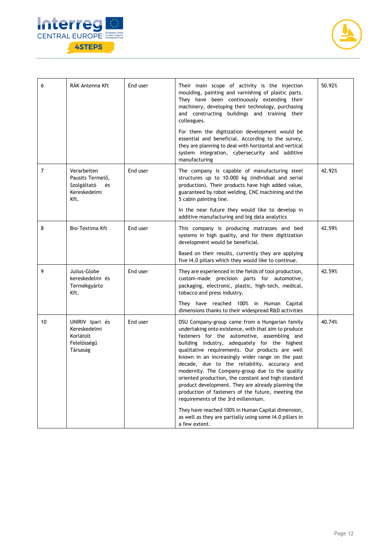



| 6  | RÁK Antenna Kft                                                              | End user | Their main scope of activity is the injection<br>moulding, painting and varnishing of plastic parts.<br>They have been continuously extending their<br>machinery, developing their technology, purchasing<br>and constructing buildings and training their<br>colleagues.                                                                                                                                                                                                                                                                                                                                                                                                                                                                                      | 50.92% |
|----|------------------------------------------------------------------------------|----------|----------------------------------------------------------------------------------------------------------------------------------------------------------------------------------------------------------------------------------------------------------------------------------------------------------------------------------------------------------------------------------------------------------------------------------------------------------------------------------------------------------------------------------------------------------------------------------------------------------------------------------------------------------------------------------------------------------------------------------------------------------------|--------|
|    |                                                                              |          | For them the digitization development would be<br>essential and beneficial. According to the survey,<br>they are planning to deal with horizontal and vertical<br>system integration, cybersecurity and additive<br>manufacturing                                                                                                                                                                                                                                                                                                                                                                                                                                                                                                                              |        |
| 7  | Verarbeiten<br>Pausits Termelő,<br>Szolgáltató<br>és<br>Kereskedelmi<br>Kft. | End user | The company is capable of manufacturing steel<br>structures up to 10.000 kg (individual and serial<br>production). Their products have high added value,<br>guaranteed by robot welding, CNC machining and the<br>5 cabin painting line.                                                                                                                                                                                                                                                                                                                                                                                                                                                                                                                       | 42.92% |
|    |                                                                              |          | In the near future they would like to develop in<br>additive manufacturing and big data analytics                                                                                                                                                                                                                                                                                                                                                                                                                                                                                                                                                                                                                                                              |        |
| 8  | Bio-Textima Kft                                                              | End user | This company is producing matrasses and bed<br>systems in high quality, and for them digitization<br>development would be beneficial.                                                                                                                                                                                                                                                                                                                                                                                                                                                                                                                                                                                                                          | 42.59% |
|    |                                                                              |          | Based on their results, currently they are applying<br>five I4.0 pillars which they would like to continue.                                                                                                                                                                                                                                                                                                                                                                                                                                                                                                                                                                                                                                                    |        |
| 9  | Julius-Globe<br>kereskedelmi és<br>Termékgyárto<br>Kft.                      | End user | They are experienced in the fields of tool production,<br>custom-made precision parts for automotive,<br>packaging, electronic, plastic, high-tech, medical,<br>tobacco and press industry.                                                                                                                                                                                                                                                                                                                                                                                                                                                                                                                                                                    | 42.59% |
|    |                                                                              |          | They have reached 100% in Human Capital<br>dimensions thanks to their widespread R&D activities                                                                                                                                                                                                                                                                                                                                                                                                                                                                                                                                                                                                                                                                |        |
| 10 | UNIRIV Ipari és<br>Kereskedelmi<br>Korlátolt<br>Felelősségű<br>Társaság      | End user | DSU Company-group came from a Hungarian family<br>undertaking onto existence, with that aim to produce<br>fasteners for the automotive, assembling and<br>building industry, adequately for the highest<br>qualitative requirements. Our products are well<br>known in an increasingly wider range on the past<br>decade, due to the reliability, accuracy and<br>modernity. The Company-group due to the quality<br>oriented production, the constant and high standard<br>product development. They are already planning the<br>production of fasteners of the future, meeting the<br>requirements of the 3rd millennium.<br>They have reached 100% in Human Capital dimension,<br>as well as they are partially using some I4.0 pillars in<br>a few extent. | 40.74% |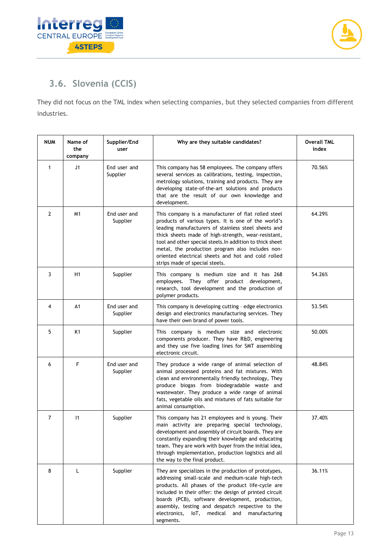



## <span id="page-13-0"></span>**3.6. Slovenia (CCIS)**

They did not focus on the TML index when selecting companies, but they selected companies from different industries.

| <b>NUM</b>     | Name of<br>the<br>company | Supplier/End<br>user     | Why are they suitable candidates?                                                                                                                                                                                                                                                                                                                                                                                                 | <b>Overall TML</b><br>index |
|----------------|---------------------------|--------------------------|-----------------------------------------------------------------------------------------------------------------------------------------------------------------------------------------------------------------------------------------------------------------------------------------------------------------------------------------------------------------------------------------------------------------------------------|-----------------------------|
| 1              | J1                        | End user and<br>Supplier | This company has 58 employees. The company offers<br>several services as calibrations, testing, inspection,<br>metrology solutions, training and products. They are<br>developing state-of-the-art solutions and products<br>that are the result of our own knowledge and<br>development.                                                                                                                                         | 70.56%                      |
| $\overline{2}$ | M1                        | End user and<br>Supplier | This company is a manufacturer of flat rolled steel<br>products of various types. It is one of the world's<br>leading manufacturers of stainless steel sheets and<br>thick sheets made of high-strength, wear-resistant,<br>tool and other special steels. In addition to thick sheet<br>metal, the production program also includes non-<br>oriented electrical sheets and hot and cold rolled<br>strips made of special steels. | 64.29%                      |
| 3              | H1                        | Supplier                 | This company is medium size and it has 268<br>employees. They offer product development,<br>research, tool development and the production of<br>polymer products.                                                                                                                                                                                                                                                                 | 54.26%                      |
| 4              | A1                        | End user and<br>Supplier | This company is developing cutting - edge electronics<br>design and electronics manufacturing services. They<br>have their own brand of power tools.                                                                                                                                                                                                                                                                              | 53.54%                      |
| 5              | K <sub>1</sub>            | Supplier                 | This company is medium size and electronic<br>components producer. They have R&D, engineering<br>and they use five loading lines for SMT assembling<br>electronic circuit.                                                                                                                                                                                                                                                        | 50.00%                      |
| 6              | F                         | End user and<br>Supplier | They produce a wide range of animal selection of<br>animal processed proteins and fat mixtures. With<br>clean and environmentally friendly technology, They<br>produce biogas from biodegradable waste and<br>wastewater. They produce a wide range of animal<br>fats, vegetable oils and mixtures of fats suitable for<br>animal consumption.                                                                                    | 48.84%                      |
| $\overline{7}$ | $\vert$ 1                 | Supplier                 | This company has 21 employees and is young. Their<br>main activity are preparing special technology,<br>development and assembly of circuit boards. They are<br>constantly expanding their knowledge and educating<br>team. They are work with buyer from the initial idea,<br>through implementation, production logistics and all<br>the way to the final product.                                                              | 37.40%                      |
| 8              | L                         | Supplier                 | They are specializes in the production of prototypes,<br>addressing small-scale and medium-scale high-tech<br>products. All phases of the product life-cycle are<br>included in their offer: the design of printed circuit<br>boards (PCB), software development, production,<br>assembly, testing and despatch respective to the<br>electronics,<br>medical and<br>manufacturing<br>loT,<br>segments.                            | 36.11%                      |